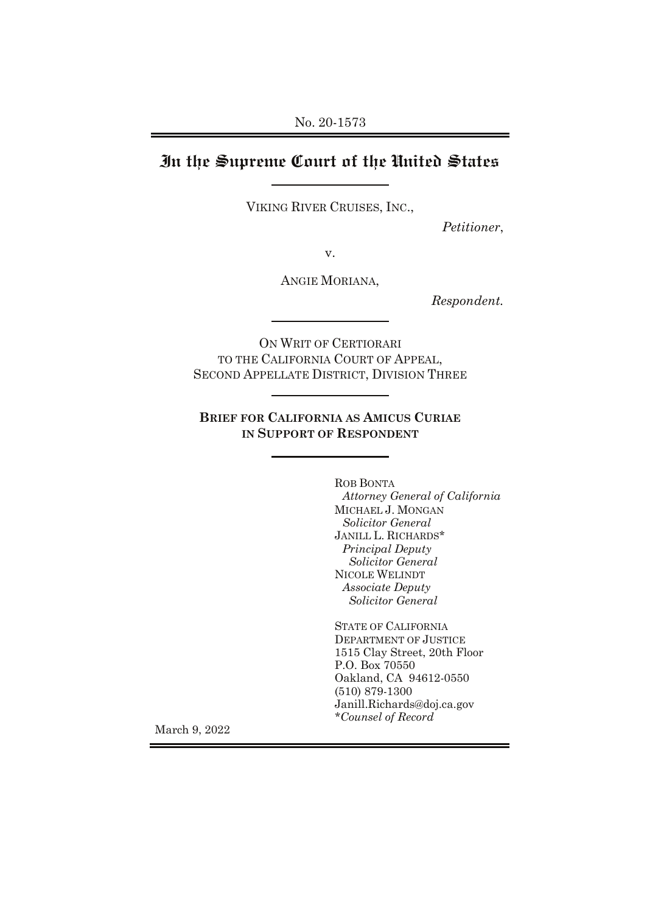# **In the Supreme Court of the United States**

VIKING RIVER CRUISES, INC.,

*Petitioner*,

v.

ANGIE MORIANA,

*Respondent.*

ON WRIT OF CERTIORARI TO THE CALIFORNIA COURT OF APPEAL, SECOND APPELLATE DISTRICT, DIVISION THREE

**BRIEF FOR CALIFORNIA AS AMICUS CURIAE IN SUPPORT OF RESPONDENT**

> ROB BONTA *Attorney General of California* MICHAEL J. MONGAN *Solicitor General* JANILL L. RICHARDS\* *Principal Deputy Solicitor General* NICOLE WELINDT *Associate Deputy Solicitor General*

STATE OF CALIFORNIA DEPARTMENT OF JUSTICE 1515 Clay Street, 20th Floor P.O. Box 70550 Oakland, CA 94612-0550 (510) 879-1300 Janill.Richards@doj.ca.gov *\*Counsel of Record* 

March 9, 2022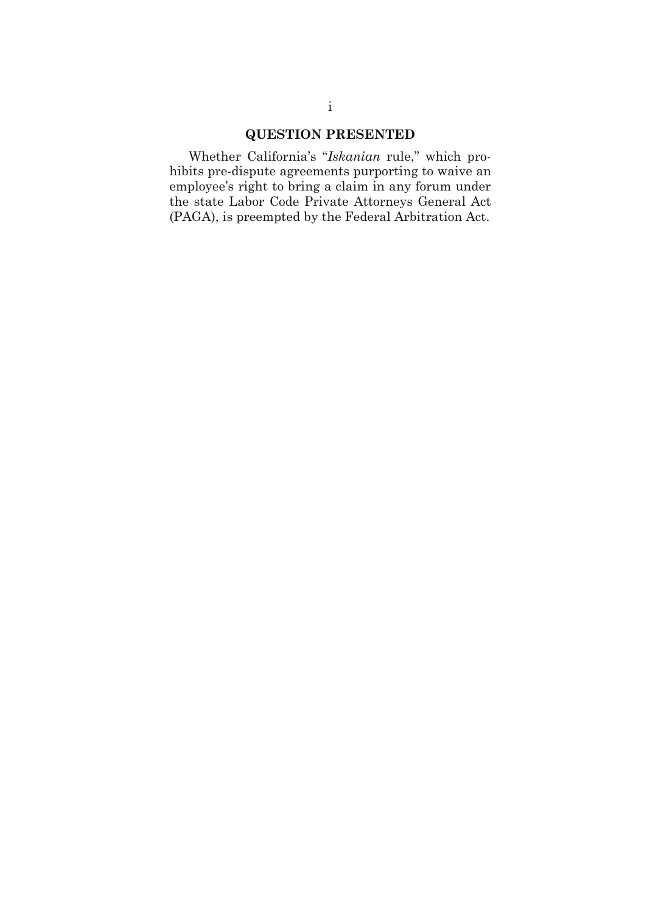## **QUESTION PRESENTED**

Whether California's "*Iskanian* rule," which prohibits pre-dispute agreements purporting to waive an employee's right to bring a claim in any forum under the state Labor Code Private Attorneys General Act (PAGA), is preempted by the Federal Arbitration Act.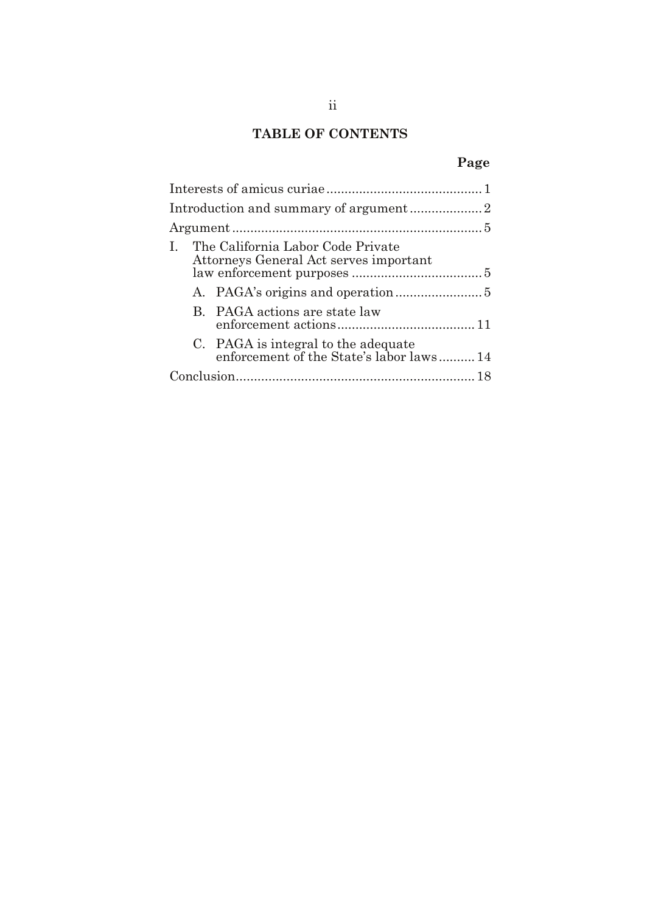## **TABLE OF CONTENTS**

# **Page**

| The California Labor Code Private<br>Attorneys General Act serves important     |  |
|---------------------------------------------------------------------------------|--|
|                                                                                 |  |
| B. PAGA actions are state law                                                   |  |
| C. PAGA is integral to the adequate<br>enforcement of the State's labor laws 14 |  |
|                                                                                 |  |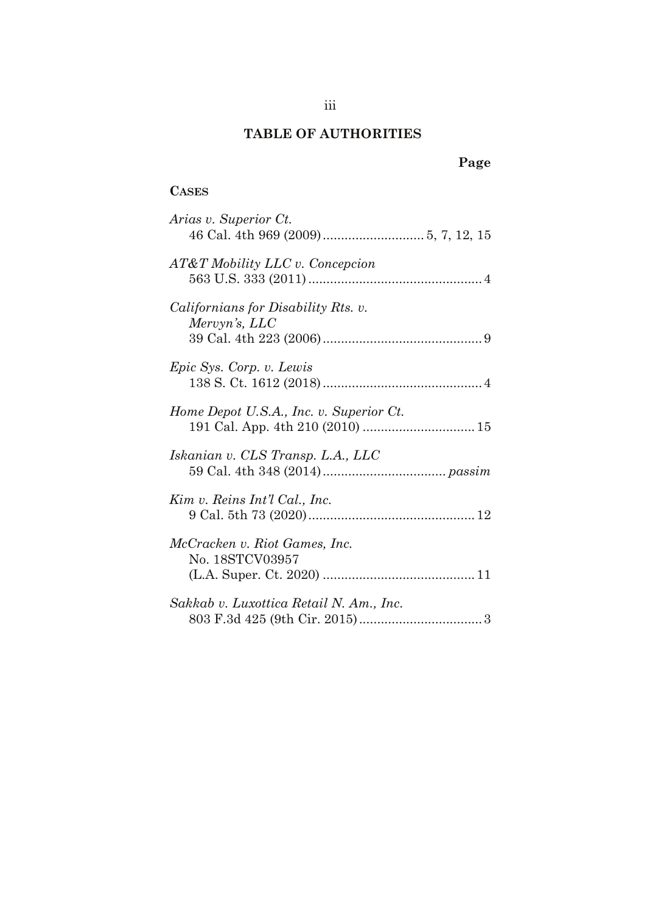## **TABLE OF AUTHORITIES**

# **Page**

### **CASES**

| Arias v. Superior Ct.                                       |
|-------------------------------------------------------------|
| AT&T Mobility LLC v. Concepcion                             |
| <i>Californians for Disability Rts. v.</i><br>Mervyn's, LLC |
| Epic Sys. Corp. v. Lewis                                    |
| Home Depot U.S.A., Inc. v. Superior Ct.                     |
| Iskanian v. CLS Transp. L.A., LLC                           |
| Kim v. Reins Int'l Cal., Inc.                               |
| McCracken v. Riot Games, Inc.<br>No. 18STCV03957            |
| Sakkab v. Luxottica Retail N. Am., Inc.                     |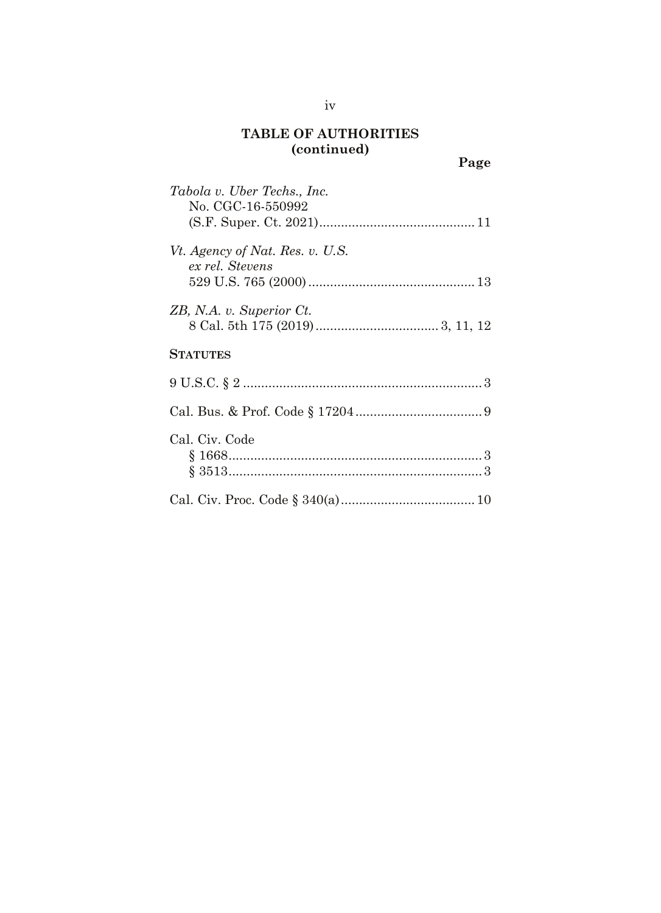| $\mathbf{v}$<br>Page                               |
|----------------------------------------------------|
| Tabola v. Uber Techs., Inc.<br>No. CGC-16-550992   |
| Vt. Agency of Nat. Res. v. U.S.<br>ex rel. Stevens |
| ZB, N.A. v. Superior Ct.                           |
| <b>STATUTES</b>                                    |
| $9 \text{ U.S.C.} \$ $2 \dots$ $3 \dots$           |
|                                                    |
| Cal. Civ. Code                                     |
|                                                    |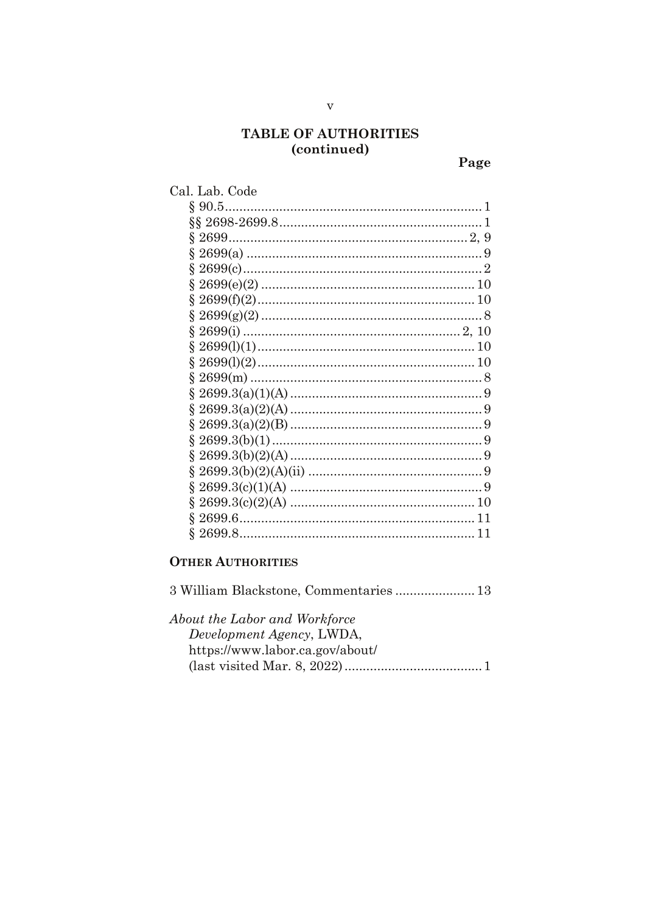Page

| Cal. Lab. Code |     |
|----------------|-----|
|                |     |
|                |     |
|                |     |
|                |     |
|                |     |
|                |     |
|                |     |
|                |     |
|                |     |
|                | 10  |
|                |     |
|                |     |
|                |     |
|                |     |
|                |     |
|                |     |
|                |     |
|                |     |
|                |     |
|                |     |
|                | ו ו |
|                |     |
|                |     |

### **OTHER AUTHORITIES**

| 3 William Blackstone, Commentaries 13 |
|---------------------------------------|
| About the Labor and Workforce         |
| Development Agency, LWDA,             |
| https://www.labor.ca.gov/about/       |
|                                       |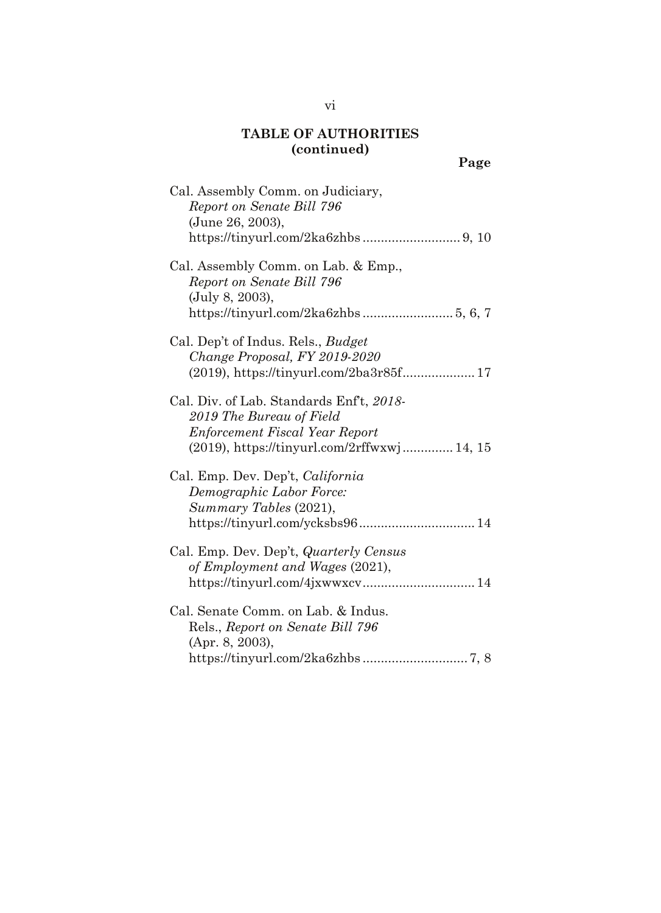| $\sim$                                                                                                                                                            | Page |
|-------------------------------------------------------------------------------------------------------------------------------------------------------------------|------|
| Cal. Assembly Comm. on Judiciary,<br>Report on Senate Bill 796<br>(June 26, 2003),                                                                                |      |
| Cal. Assembly Comm. on Lab. & Emp.,<br>Report on Senate Bill 796<br>(July 8, 2003),                                                                               |      |
| Cal. Dep't of Indus. Rels., <i>Budget</i><br>Change Proposal, FY 2019-2020                                                                                        |      |
| Cal. Div. of Lab. Standards Enf <sup>t</sup> , 2018-<br>2019 The Bureau of Field<br>Enforcement Fiscal Year Report<br>(2019), https://tinyurl.com/2rffwxwj 14, 15 |      |
| Cal. Emp. Dev. Dep't, <i>California</i><br>Demographic Labor Force:<br>Summary Tables (2021),<br>https://tinyurl.com/ycksbs96 14                                  |      |
| Cal. Emp. Dev. Dep't, <i>Quarterly Census</i><br>of Employment and Wages (2021),<br>https://tinyurl.com/4jxwwxcv 14                                               |      |
| Cal. Senate Comm. on Lab. & Indus.<br>Rels., Report on Senate Bill 796<br>(Apr. 8, 2003),                                                                         |      |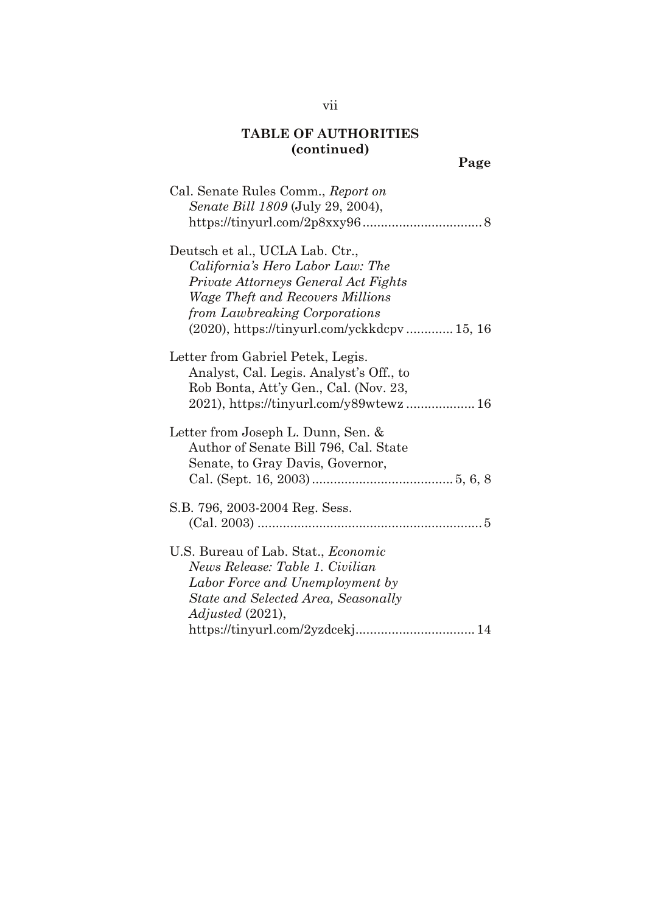| Cal. Senate Rules Comm., Report on<br>Senate Bill 1809 (July 29, 2004),                                                                                                                                                                   |
|-------------------------------------------------------------------------------------------------------------------------------------------------------------------------------------------------------------------------------------------|
| Deutsch et al., UCLA Lab. Ctr.,<br>California's Hero Labor Law: The<br>Private Attorneys General Act Fights<br><i>Wage Theft and Recovers Millions</i><br>from Lawbreaking Corporations<br>$(2020)$ , https://tinyurl.com/yckkdcpv 15, 16 |
| Letter from Gabriel Petek, Legis.<br>Analyst, Cal. Legis. Analyst's Off., to<br>Rob Bonta, Att'y Gen., Cal. (Nov. 23,                                                                                                                     |
| Letter from Joseph L. Dunn, Sen. &<br>Author of Senate Bill 796, Cal. State<br>Senate, to Gray Davis, Governor,                                                                                                                           |
| S.B. 796, 2003-2004 Reg. Sess.                                                                                                                                                                                                            |
| U.S. Bureau of Lab. Stat., <i>Economic</i><br>News Release: Table 1. Civilian<br>Labor Force and Unemployment by<br>State and Selected Area, Seasonally<br>Adjusted (2021),<br>https://tinyurl.com/2yzdcekj 14                            |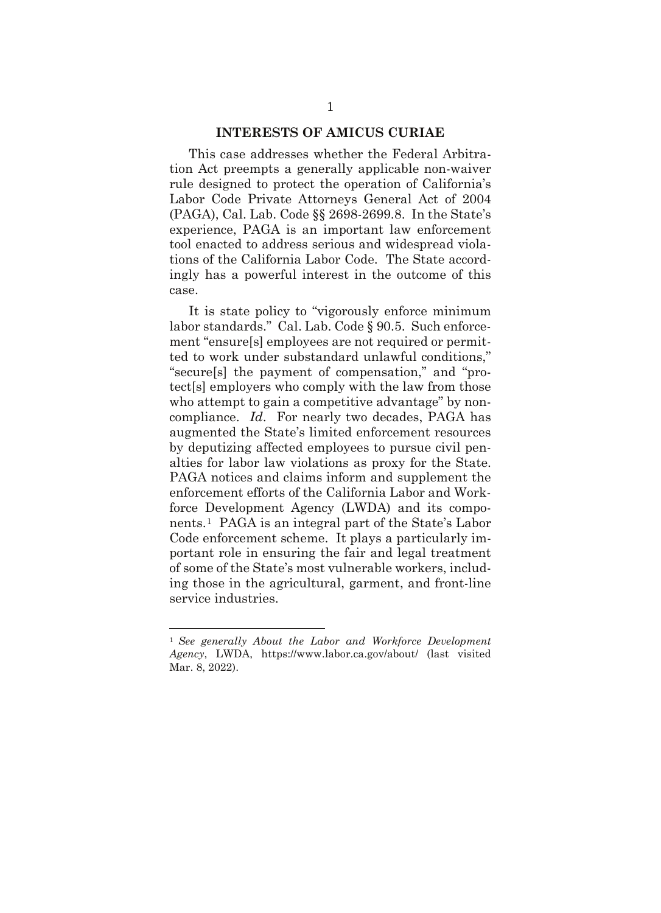#### **INTERESTS OF AMICUS CURIAE**

This case addresses whether the Federal Arbitration Act preempts a generally applicable non-waiver rule designed to protect the operation of California's Labor Code Private Attorneys General Act of 2004 (PAGA), Cal. Lab. Code §§ 2698-2699.8. In the State's experience, PAGA is an important law enforcement tool enacted to address serious and widespread violations of the California Labor Code. The State accordingly has a powerful interest in the outcome of this case.

It is state policy to "vigorously enforce minimum labor standards." Cal. Lab. Code § 90.5. Such enforcement "ensure[s] employees are not required or permitted to work under substandard unlawful conditions," "secure[s] the payment of compensation," and "protect[s] employers who comply with the law from those who attempt to gain a competitive advantage" by noncompliance. *Id*. For nearly two decades, PAGA has augmented the State's limited enforcement resources by deputizing affected employees to pursue civil penalties for labor law violations as proxy for the State. PAGA notices and claims inform and supplement the enforcement efforts of the California Labor and Workforce Development Agency (LWDA) and its components.[1](#page-8-0) PAGA is an integral part of the State's Labor Code enforcement scheme. It plays a particularly important role in ensuring the fair and legal treatment of some of the State's most vulnerable workers, including those in the agricultural, garment, and front-line service industries.

<span id="page-8-0"></span><sup>1</sup> *See generally About the Labor and Workforce Development Agency*, LWDA, https://www.labor.ca.gov/about/ (last visited Mar. 8, 2022).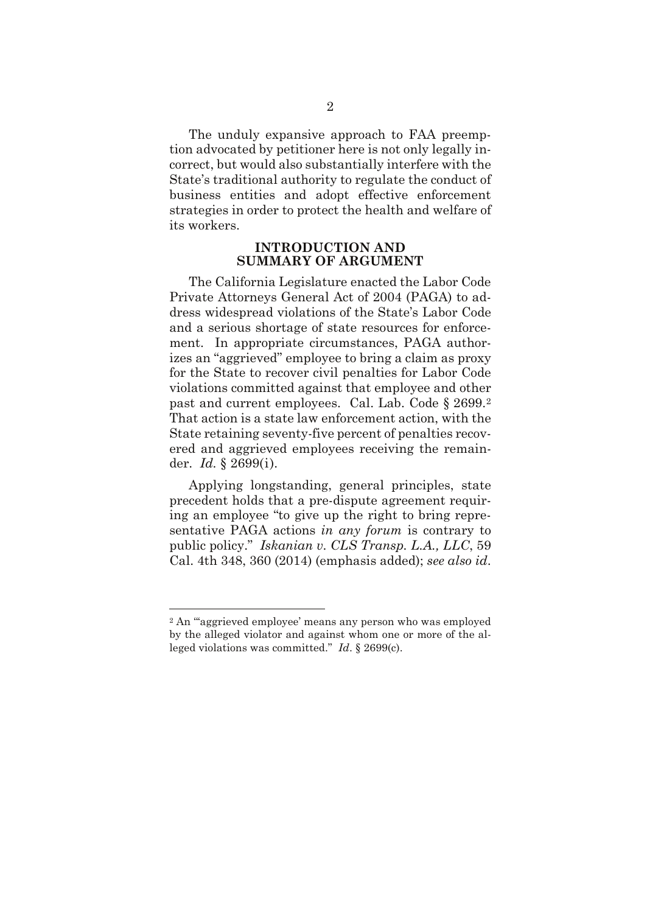The unduly expansive approach to FAA preemption advocated by petitioner here is not only legally incorrect, but would also substantially interfere with the State's traditional authority to regulate the conduct of business entities and adopt effective enforcement strategies in order to protect the health and welfare of its workers.

#### **INTRODUCTION AND SUMMARY OF ARGUMENT**

The California Legislature enacted the Labor Code Private Attorneys General Act of 2004 (PAGA) to address widespread violations of the State's Labor Code and a serious shortage of state resources for enforcement. In appropriate circumstances, PAGA authorizes an "aggrieved" employee to bring a claim as proxy for the State to recover civil penalties for Labor Code violations committed against that employee and other past and current employees. Cal. Lab. Code § 2699.[2](#page-9-0) That action is a state law enforcement action, with the State retaining seventy-five percent of penalties recovered and aggrieved employees receiving the remainder. *Id.* § 2699(i).

Applying longstanding, general principles, state precedent holds that a pre-dispute agreement requiring an employee "to give up the right to bring representative PAGA actions *in any forum* is contrary to public policy." *Iskanian v. CLS Transp. L.A., LLC*, 59 Cal. 4th 348, 360 (2014) (emphasis added); *see also id*.

<span id="page-9-0"></span><sup>2</sup> An "'aggrieved employee' means any person who was employed by the alleged violator and against whom one or more of the alleged violations was committed." *Id*. § 2699(c).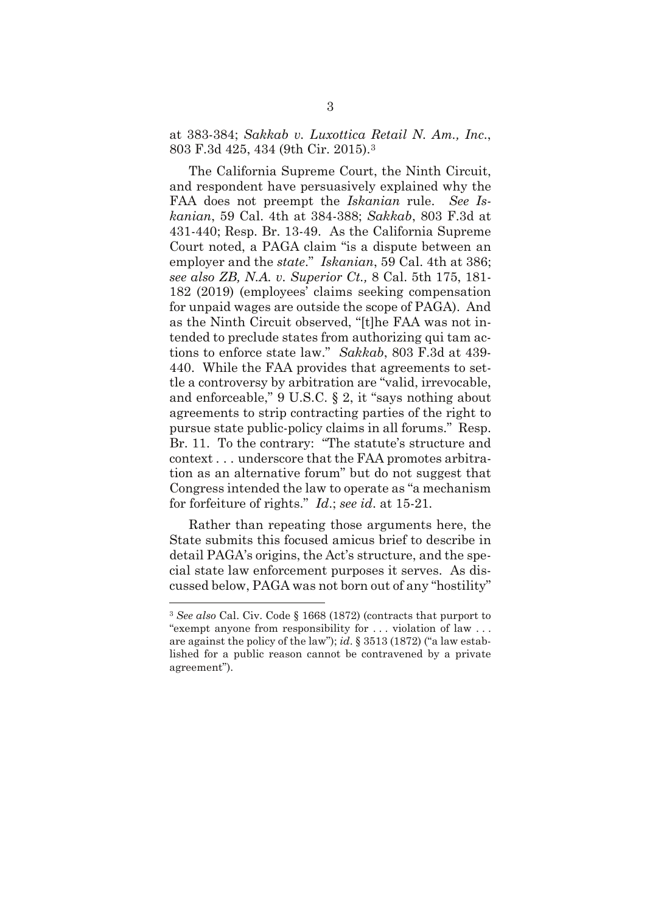at 383-384; *Sakkab v. Luxottica Retail N. Am., Inc*., 803 F.3d 425, 434 (9th Cir. 2015).[3](#page-10-0)

The California Supreme Court, the Ninth Circuit, and respondent have persuasively explained why the FAA does not preempt the *Iskanian* rule. *See Iskanian*, 59 Cal. 4th at 384-388; *Sakkab*, 803 F.3d at 431-440; Resp. Br. 13-49. As the California Supreme Court noted, a PAGA claim "is a dispute between an employer and the *state*." *Iskanian*, 59 Cal. 4th at 386; *see also ZB, N.A. v. Superior Ct.,* 8 Cal. 5th 175, 181- 182 (2019) (employees' claims seeking compensation for unpaid wages are outside the scope of PAGA). And as the Ninth Circuit observed, "[t]he FAA was not intended to preclude states from authorizing qui tam actions to enforce state law." *Sakkab*, 803 F.3d at 439- 440. While the FAA provides that agreements to settle a controversy by arbitration are "valid, irrevocable, and enforceable," 9 U.S.C. § 2, it "says nothing about agreements to strip contracting parties of the right to pursue state public-policy claims in all forums." Resp. Br. 11. To the contrary: "The statute's structure and context . . . underscore that the FAA promotes arbitration as an alternative forum" but do not suggest that Congress intended the law to operate as "a mechanism for forfeiture of rights." *Id*.; *see id*. at 15-21.

Rather than repeating those arguments here, the State submits this focused amicus brief to describe in detail PAGA's origins, the Act's structure, and the special state law enforcement purposes it serves. As discussed below, PAGA was not born out of any "hostility"

<span id="page-10-0"></span><sup>3</sup> *See also* Cal. Civ. Code § 1668 (1872) (contracts that purport to "exempt anyone from responsibility for . . . violation of law . . . are against the policy of the law"); *id*. § 3513 (1872) ("a law established for a public reason cannot be contravened by a private agreement").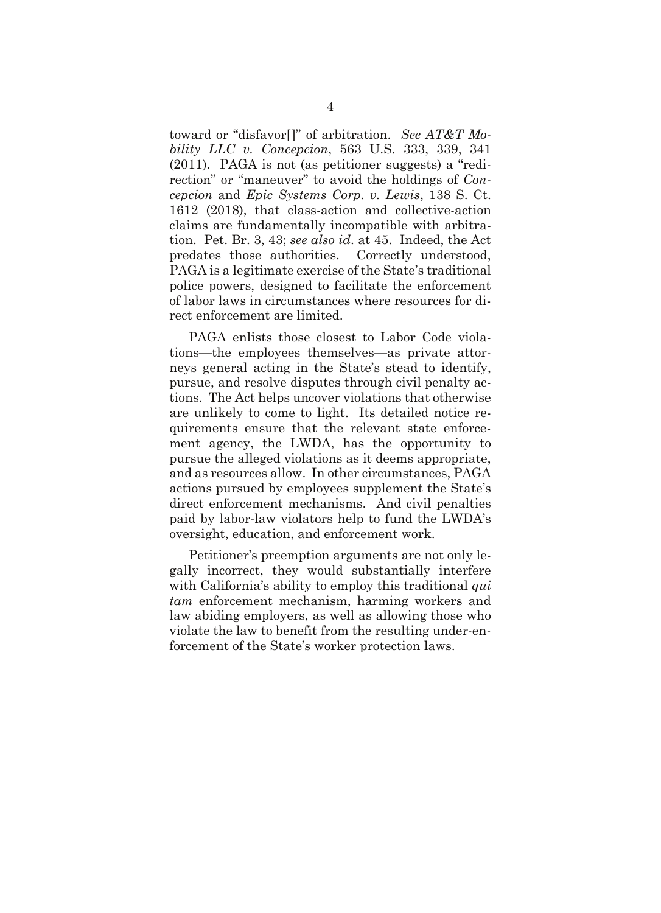toward or "disfavor[]" of arbitration. *See AT&T Mobility LLC v. Concepcion*, 563 U.S. 333, 339, 341 (2011). PAGA is not (as petitioner suggests) a "redirection" or "maneuver" to avoid the holdings of *Concepcion* and *Epic Systems Corp. v. Lewis*, 138 S. Ct. 1612 (2018), that class-action and collective-action claims are fundamentally incompatible with arbitration. Pet. Br. 3, 43; *see also id*. at 45. Indeed, the Act predates those authorities. Correctly understood, PAGA is a legitimate exercise of the State's traditional police powers, designed to facilitate the enforcement of labor laws in circumstances where resources for direct enforcement are limited.

PAGA enlists those closest to Labor Code violations—the employees themselves—as private attorneys general acting in the State's stead to identify, pursue, and resolve disputes through civil penalty actions. The Act helps uncover violations that otherwise are unlikely to come to light. Its detailed notice requirements ensure that the relevant state enforcement agency, the LWDA, has the opportunity to pursue the alleged violations as it deems appropriate, and as resources allow. In other circumstances, PAGA actions pursued by employees supplement the State's direct enforcement mechanisms. And civil penalties paid by labor-law violators help to fund the LWDA's oversight, education, and enforcement work.

Petitioner's preemption arguments are not only legally incorrect, they would substantially interfere with California's ability to employ this traditional *qui tam* enforcement mechanism, harming workers and law abiding employers, as well as allowing those who violate the law to benefit from the resulting under-enforcement of the State's worker protection laws.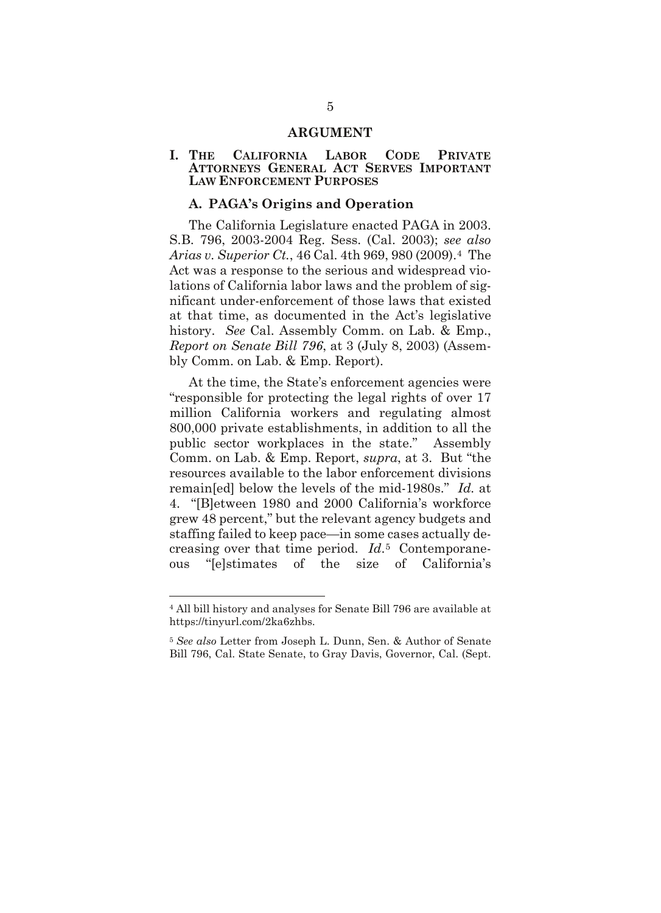#### **ARGUMENT**

#### **I. THE CALIFORNIA LABOR CODE PRIVATE ATTORNEYS GENERAL ACT SERVES IMPORTANT LAW ENFORCEMENT PURPOSES**

#### **A. PAGA's Origins and Operation**

The California Legislature enacted PAGA in 2003. S.B. 796, 2003-2004 Reg. Sess. (Cal. 2003); *see also Arias v. Superior Ct.*, 46 Cal. 4th 969, 980 (2009)[.4](#page-12-0) The Act was a response to the serious and widespread violations of California labor laws and the problem of significant under-enforcement of those laws that existed at that time, as documented in the Act's legislative history. *See* Cal. Assembly Comm. on Lab. & Emp., *Report on Senate Bill 796*, at 3 (July 8, 2003) (Assembly Comm. on Lab. & Emp. Report).

At the time, the State's enforcement agencies were "responsible for protecting the legal rights of over 17 million California workers and regulating almost 800,000 private establishments, in addition to all the public sector workplaces in the state." Assembly Comm. on Lab. & Emp. Report, *supra*, at 3. But "the resources available to the labor enforcement divisions remain[ed] below the levels of the mid-1980s." *Id.* at 4. "[B]etween 1980 and 2000 California's workforce grew 48 percent," but the relevant agency budgets and staffing failed to keep pace—in some cases actually decreasing over that time period. *Id*.[5](#page-12-1) Contemporaneous "[e]stimates of the size of California's

<span id="page-12-0"></span><sup>4</sup> All bill history and analyses for Senate Bill 796 are available at https://tinyurl.com/2ka6zhbs.

<span id="page-12-1"></span><sup>5</sup> *See also* Letter from Joseph L. Dunn, Sen. & Author of Senate Bill 796, Cal. State Senate, to Gray Davis, Governor, Cal. (Sept.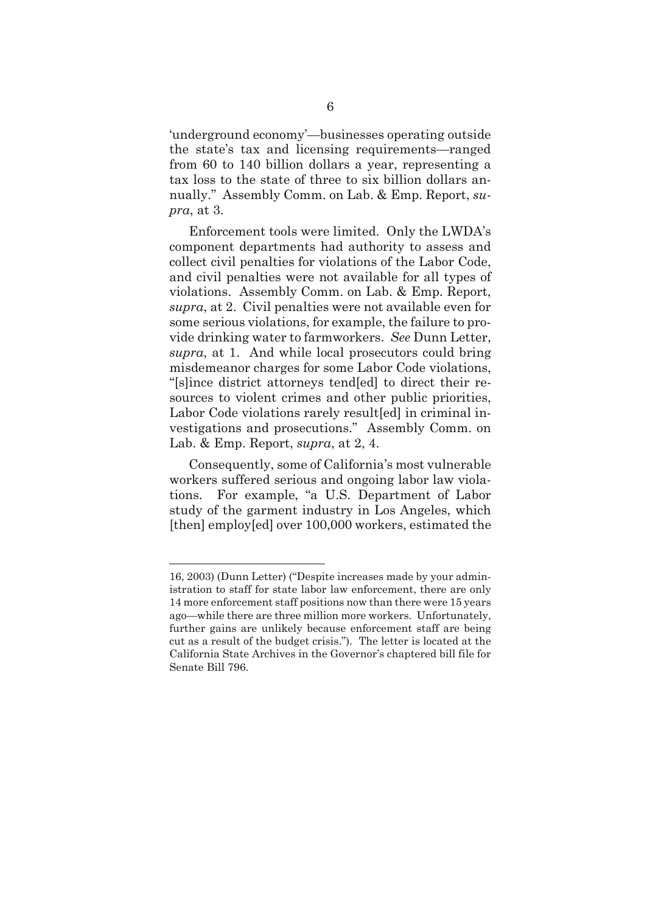'underground economy'—businesses operating outside the state's tax and licensing requirements—ranged from 60 to 140 billion dollars a year, representing a tax loss to the state of three to six billion dollars annually." Assembly Comm. on Lab. & Emp. Report, *supra*, at 3.

Enforcement tools were limited. Only the LWDA's component departments had authority to assess and collect civil penalties for violations of the Labor Code, and civil penalties were not available for all types of violations. Assembly Comm. on Lab. & Emp. Report, *supra*, at 2. Civil penalties were not available even for some serious violations, for example, the failure to provide drinking water to farmworkers. *See* Dunn Letter, *supra*, at 1. And while local prosecutors could bring misdemeanor charges for some Labor Code violations, "[s]ince district attorneys tend[ed] to direct their resources to violent crimes and other public priorities, Labor Code violations rarely result[ed] in criminal investigations and prosecutions." Assembly Comm. on Lab. & Emp. Report, *supra*, at 2, 4.

Consequently, some of California's most vulnerable workers suffered serious and ongoing labor law violations. For example, "a U.S. Department of Labor study of the garment industry in Los Angeles, which [then] employ[ed] over 100,000 workers, estimated the

<sup>16, 2003) (</sup>Dunn Letter) ("Despite increases made by your administration to staff for state labor law enforcement, there are only 14 more enforcement staff positions now than there were 15 years ago—while there are three million more workers. Unfortunately, further gains are unlikely because enforcement staff are being cut as a result of the budget crisis."). The letter is located at the California State Archives in the Governor's chaptered bill file for Senate Bill 796.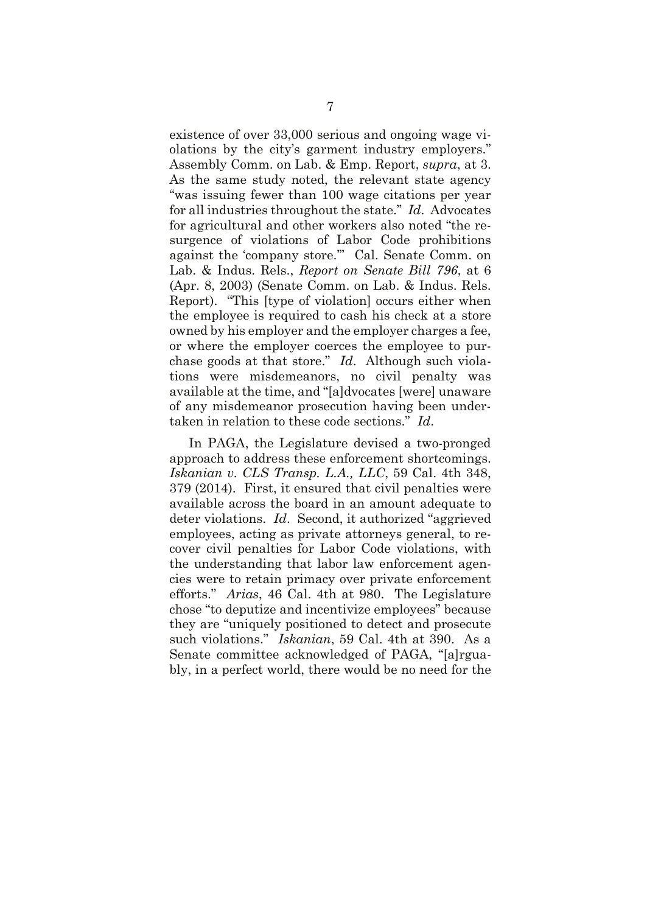existence of over 33,000 serious and ongoing wage violations by the city's garment industry employers." Assembly Comm. on Lab. & Emp. Report, *supra*, at 3. As the same study noted, the relevant state agency "was issuing fewer than 100 wage citations per year for all industries throughout the state." *Id*. Advocates for agricultural and other workers also noted "the resurgence of violations of Labor Code prohibitions against the 'company store.'" Cal. Senate Comm. on Lab. & Indus. Rels., *Report on Senate Bill 796*, at 6 (Apr. 8, 2003) (Senate Comm. on Lab. & Indus. Rels. Report). "This [type of violation] occurs either when the employee is required to cash his check at a store owned by his employer and the employer charges a fee, or where the employer coerces the employee to purchase goods at that store." *Id*. Although such violations were misdemeanors, no civil penalty was available at the time, and "[a]dvocates [were] unaware of any misdemeanor prosecution having been undertaken in relation to these code sections." *Id*.

In PAGA, the Legislature devised a two-pronged approach to address these enforcement shortcomings. *Iskanian v. CLS Transp. L.A., LLC*, 59 Cal. 4th 348, 379 (2014). First, it ensured that civil penalties were available across the board in an amount adequate to deter violations. *Id*. Second, it authorized "aggrieved employees, acting as private attorneys general, to recover civil penalties for Labor Code violations, with the understanding that labor law enforcement agencies were to retain primacy over private enforcement efforts." *Arias*, 46 Cal. 4th at 980. The Legislature chose "to deputize and incentivize employees" because they are "uniquely positioned to detect and prosecute such violations." *Iskanian*, 59 Cal. 4th at 390. As a Senate committee acknowledged of PAGA, "[a]rguably, in a perfect world, there would be no need for the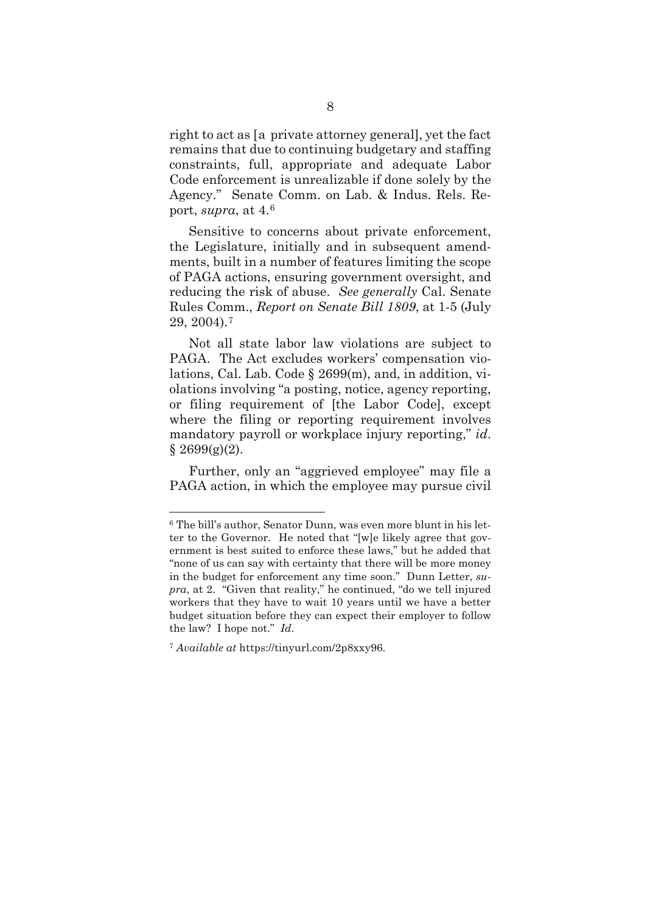right to act as [a private attorney general], yet the fact remains that due to continuing budgetary and staffing constraints, full, appropriate and adequate Labor Code enforcement is unrealizable if done solely by the Agency." Senate Comm. on Lab. & Indus. Rels. Report, *supra*, at 4.[6](#page-15-0)

Sensitive to concerns about private enforcement, the Legislature, initially and in subsequent amendments, built in a number of features limiting the scope of PAGA actions, ensuring government oversight, and reducing the risk of abuse. *See generally* Cal. Senate Rules Comm., *Report on Senate Bill 1809*, at 1-5 (July 29, 2004).[7](#page-15-1)

Not all state labor law violations are subject to PAGA. The Act excludes workers' compensation violations, Cal. Lab. Code § 2699(m), and, in addition, violations involving "a posting, notice, agency reporting, or filing requirement of [the Labor Code], except where the filing or reporting requirement involves mandatory payroll or workplace injury reporting," *id*.  $§$  2699(g)(2).

Further, only an "aggrieved employee" may file a PAGA action, in which the employee may pursue civil

<span id="page-15-0"></span><sup>6</sup> The bill's author, Senator Dunn, was even more blunt in his letter to the Governor. He noted that "[w]e likely agree that government is best suited to enforce these laws," but he added that "none of us can say with certainty that there will be more money in the budget for enforcement any time soon." Dunn Letter, *supra*, at 2. "Given that reality," he continued, "do we tell injured workers that they have to wait 10 years until we have a better budget situation before they can expect their employer to follow the law? I hope not." *Id*.

<span id="page-15-1"></span><sup>7</sup> *Available at* https://tinyurl.com/2p8xxy96.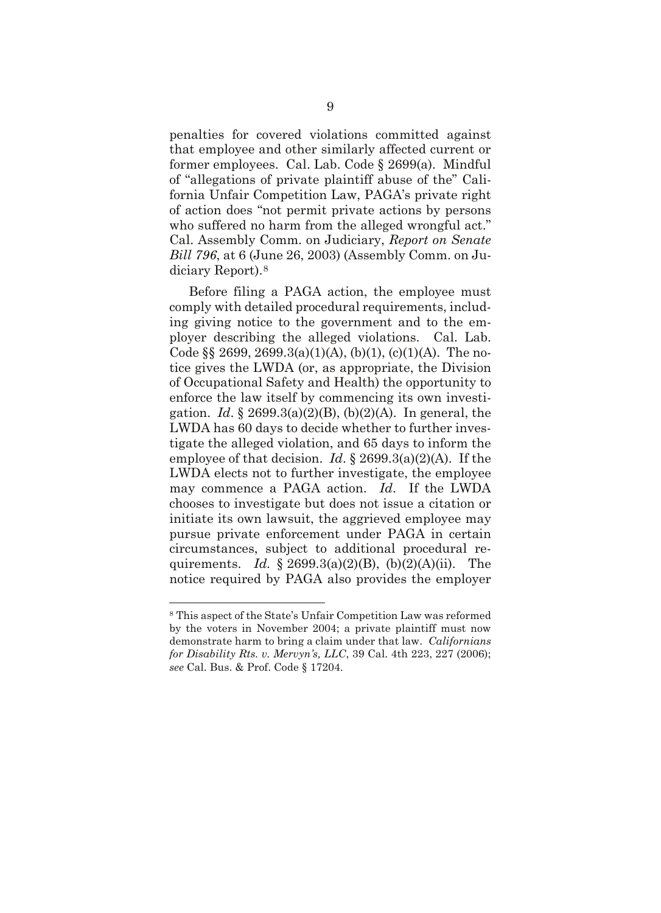penalties for covered violations committed against that employee and other similarly affected current or former employees. Cal. Lab. Code § 2699(a). Mindful of "allegations of private plaintiff abuse of the" California Unfair Competition Law, PAGA's private right of action does "not permit private actions by persons who suffered no harm from the alleged wrongful act." Cal. Assembly Comm. on Judiciary, *Report on Senate Bill 796*, at 6 (June 26, 2003) (Assembly Comm. on Judiciary Report).[8](#page-16-0)

Before filing a PAGA action, the employee must comply with detailed procedural requirements, including giving notice to the government and to the employer describing the alleged violations. Cal. Lab. Code  $\S$  2699, 2699.3(a)(1)(A), (b)(1), (c)(1)(A). The notice gives the LWDA (or, as appropriate, the Division of Occupational Safety and Health) the opportunity to enforce the law itself by commencing its own investigation. *Id*. § 2699.3(a)(2)(B), (b)(2)(A). In general, the LWDA has 60 days to decide whether to further investigate the alleged violation, and 65 days to inform the employee of that decision. *Id*. § 2699.3(a)(2)(A). If the LWDA elects not to further investigate, the employee may commence a PAGA action. *Id*. If the LWDA chooses to investigate but does not issue a citation or initiate its own lawsuit, the aggrieved employee may pursue private enforcement under PAGA in certain circumstances, subject to additional procedural requirements. *Id.* § 2699.3(a)(2)(B), (b)(2)(A)(ii). The notice required by PAGA also provides the employer

<span id="page-16-0"></span><sup>8</sup> This aspect of the State's Unfair Competition Law was reformed by the voters in November 2004; a private plaintiff must now demonstrate harm to bring a claim under that law. *Californians for Disability Rts. v. Mervyn's, LLC*, 39 Cal. 4th 223, 227 (2006); *see* Cal. Bus. & Prof. Code § 17204.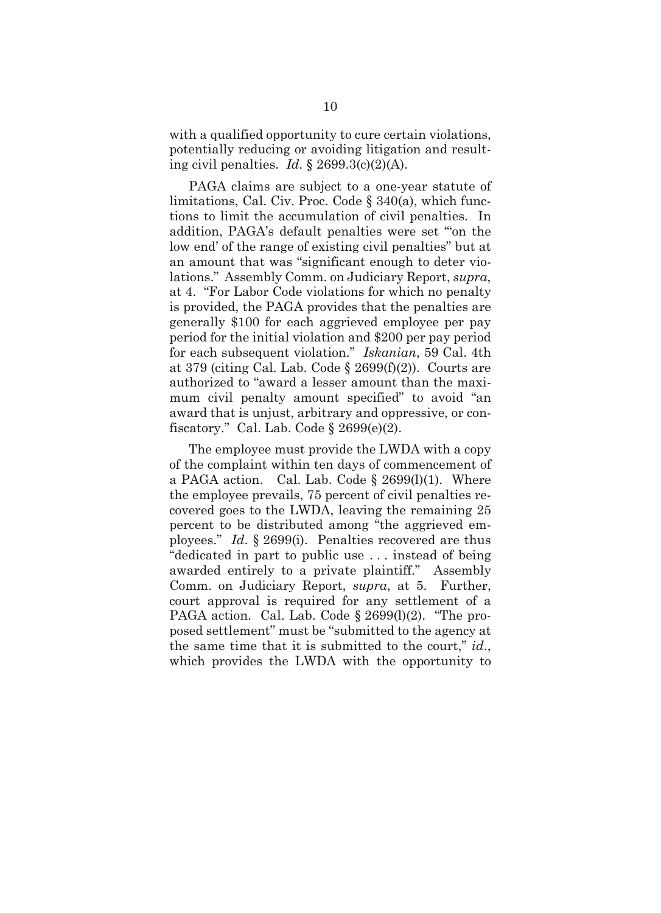with a qualified opportunity to cure certain violations, potentially reducing or avoiding litigation and resulting civil penalties. *Id*. § 2699.3(c)(2)(A).

PAGA claims are subject to a one-year statute of limitations, Cal. Civ. Proc. Code § 340(a), which functions to limit the accumulation of civil penalties. In addition, PAGA's default penalties were set "'on the low end' of the range of existing civil penalties" but at an amount that was "significant enough to deter violations." Assembly Comm. on Judiciary Report, *supra*, at 4. "For Labor Code violations for which no penalty is provided, the PAGA provides that the penalties are generally \$100 for each aggrieved employee per pay period for the initial violation and \$200 per pay period for each subsequent violation." *Iskanian*, 59 Cal. 4th at 379 (citing Cal. Lab. Code  $\S 2699(f)(2)$ ). Courts are authorized to "award a lesser amount than the maximum civil penalty amount specified" to avoid "an award that is unjust, arbitrary and oppressive, or confiscatory." Cal. Lab. Code  $\S 2699(e)(2)$ .

The employee must provide the LWDA with a copy of the complaint within ten days of commencement of a PAGA action. Cal. Lab. Code  $\S$  2699(l)(1). Where the employee prevails, 75 percent of civil penalties recovered goes to the LWDA, leaving the remaining 25 percent to be distributed among "the aggrieved employees." *Id*. § 2699(i). Penalties recovered are thus "dedicated in part to public use . . . instead of being awarded entirely to a private plaintiff." Assembly Comm. on Judiciary Report, *supra*, at 5. Further, court approval is required for any settlement of a PAGA action. Cal. Lab. Code § 2699(1)(2). "The proposed settlement" must be "submitted to the agency at the same time that it is submitted to the court," *id*., which provides the LWDA with the opportunity to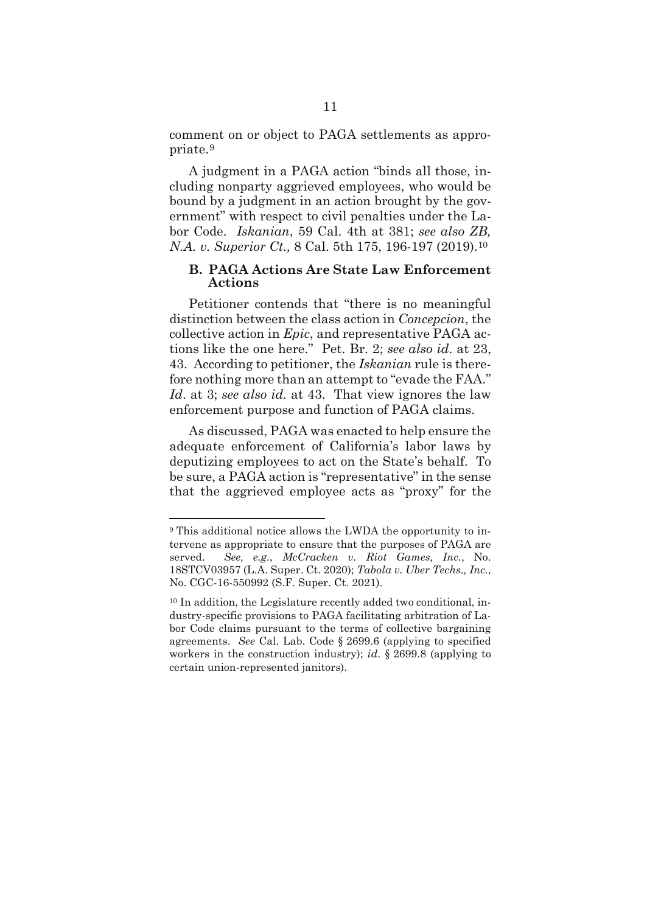comment on or object to PAGA settlements as appropriate.[9](#page-18-0)

A judgment in a PAGA action "binds all those, including nonparty aggrieved employees, who would be bound by a judgment in an action brought by the government" with respect to civil penalties under the Labor Code. *Iskanian*, 59 Cal. 4th at 381; *see also ZB, N.A. v. Superior Ct.,* 8 Cal. 5th 175, 196-197 (2019).[10](#page-18-1)

#### **B. PAGA Actions Are State Law Enforcement Actions**

Petitioner contends that "there is no meaningful distinction between the class action in *Concepcion*, the collective action in *Epic*, and representative PAGA actions like the one here." Pet. Br. 2; *see also id*. at 23, 43. According to petitioner, the *Iskanian* rule is therefore nothing more than an attempt to "evade the FAA." *Id*. at 3; *see also id.* at 43. That view ignores the law enforcement purpose and function of PAGA claims.

As discussed, PAGA was enacted to help ensure the adequate enforcement of California's labor laws by deputizing employees to act on the State's behalf. To be sure, a PAGA action is "representative" in the sense that the aggrieved employee acts as "proxy" for the

<span id="page-18-0"></span><sup>9</sup> This additional notice allows the LWDA the opportunity to intervene as appropriate to ensure that the purposes of PAGA are served. *See, e.g.*, *McCracken v. Riot Games, Inc.*, No. 18STCV03957 (L.A. Super. Ct. 2020); *Tabola v. Uber Techs., Inc.*, No. CGC-16-550992 (S.F. Super. Ct. 2021).

<span id="page-18-1"></span><sup>10</sup> In addition, the Legislature recently added two conditional, industry-specific provisions to PAGA facilitating arbitration of Labor Code claims pursuant to the terms of collective bargaining agreements. *See* Cal. Lab. Code § 2699.6 (applying to specified workers in the construction industry); *id*. § 2699.8 (applying to certain union-represented janitors).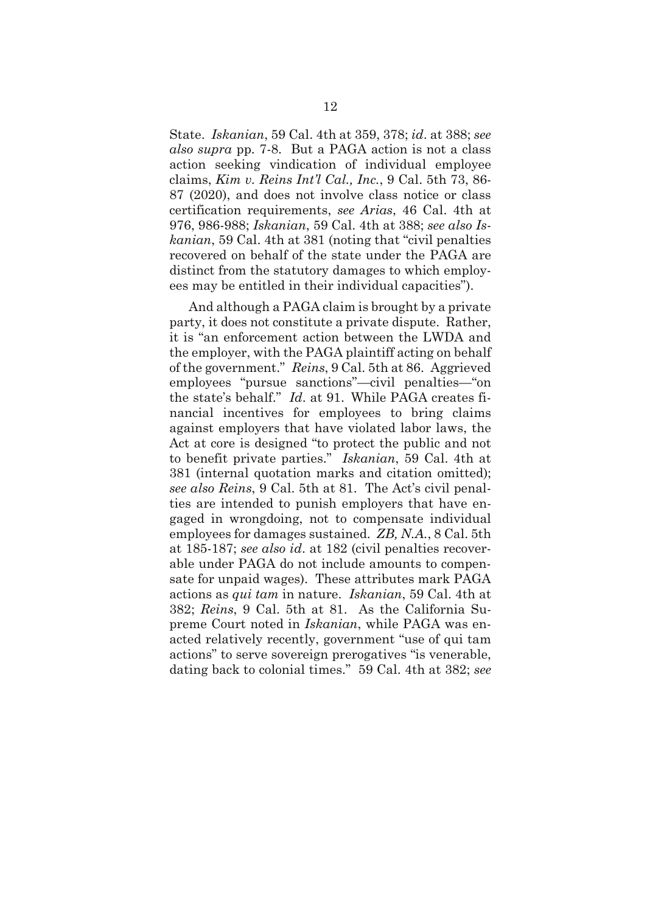State. *Iskanian*, 59 Cal. 4th at 359, 378; *id*. at 388; *see also supra* pp. 7-8. But a PAGA action is not a class action seeking vindication of individual employee claims, *Kim v. Reins Int'l Cal., Inc.*, 9 Cal. 5th 73, 86- 87 (2020), and does not involve class notice or class certification requirements, *see Arias*, 46 Cal. 4th at 976, 986-988; *Iskanian*, 59 Cal. 4th at 388; *see also Iskanian*, 59 Cal. 4th at 381 (noting that "civil penalties recovered on behalf of the state under the PAGA are distinct from the statutory damages to which employees may be entitled in their individual capacities").

And although a PAGA claim is brought by a private party, it does not constitute a private dispute. Rather, it is "an enforcement action between the LWDA and the employer, with the PAGA plaintiff acting on behalf of the government." *Reins*, 9 Cal. 5th at 86. Aggrieved employees "pursue sanctions"—civil penalties—"on the state's behalf." *Id*. at 91. While PAGA creates financial incentives for employees to bring claims against employers that have violated labor laws, the Act at core is designed "to protect the public and not to benefit private parties." *Iskanian*, 59 Cal. 4th at 381 (internal quotation marks and citation omitted); *see also Reins*, 9 Cal. 5th at 81. The Act's civil penalties are intended to punish employers that have engaged in wrongdoing, not to compensate individual employees for damages sustained. *ZB, N.A.*, 8 Cal. 5th at 185-187; *see also id*. at 182 (civil penalties recoverable under PAGA do not include amounts to compensate for unpaid wages). These attributes mark PAGA actions as *qui tam* in nature. *Iskanian*, 59 Cal. 4th at 382; *Reins*, 9 Cal. 5th at 81. As the California Supreme Court noted in *Iskanian*, while PAGA was enacted relatively recently, government "use of qui tam actions" to serve sovereign prerogatives "is venerable, dating back to colonial times." 59 Cal. 4th at 382; *see*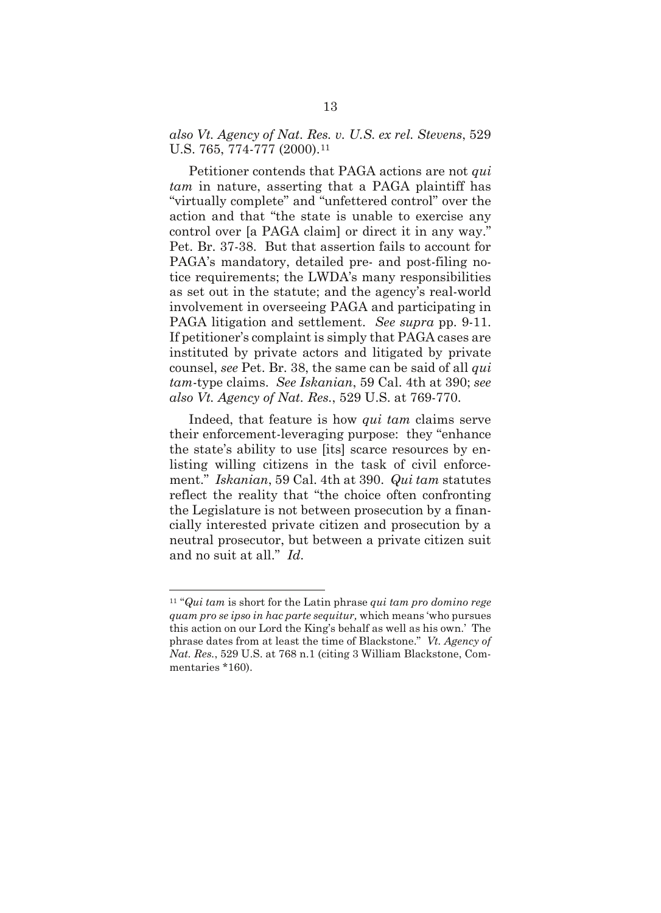#### *also Vt. Agency of Nat. Res. v. U.S. ex rel. Stevens*, 529 U.S. 765, 774-777 (2000).<sup>[11](#page-20-0)</sup>

Petitioner contends that PAGA actions are not *qui tam* in nature, asserting that a PAGA plaintiff has "virtually complete" and "unfettered control" over the action and that "the state is unable to exercise any control over [a PAGA claim] or direct it in any way." Pet. Br. 37-38. But that assertion fails to account for PAGA's mandatory, detailed pre- and post-filing notice requirements; the LWDA's many responsibilities as set out in the statute; and the agency's real-world involvement in overseeing PAGA and participating in PAGA litigation and settlement. *See supra* pp. 9-11. If petitioner's complaint is simply that PAGA cases are instituted by private actors and litigated by private counsel, *see* Pet. Br. 38, the same can be said of all *qui tam*-type claims. *See Iskanian*, 59 Cal. 4th at 390; *see also Vt. Agency of Nat. Res.*, 529 U.S. at 769-770.

Indeed, that feature is how *qui tam* claims serve their enforcement-leveraging purpose: they "enhance the state's ability to use [its] scarce resources by enlisting willing citizens in the task of civil enforcement." *Iskanian*, 59 Cal. 4th at 390. *Qui tam* statutes reflect the reality that "the choice often confronting the Legislature is not between prosecution by a financially interested private citizen and prosecution by a neutral prosecutor, but between a private citizen suit and no suit at all." *Id*.

<span id="page-20-0"></span><sup>11</sup> "*Qui tam* is short for the Latin phrase *qui tam pro domino rege quam pro se ipso in hac parte sequitur,* which means 'who pursues this action on our Lord the King's behalf as well as his own.' The phrase dates from at least the time of Blackstone." *Vt. Agency of Nat. Res.*, 529 U.S. at 768 n.1 (citing 3 William Blackstone, Commentaries \*160).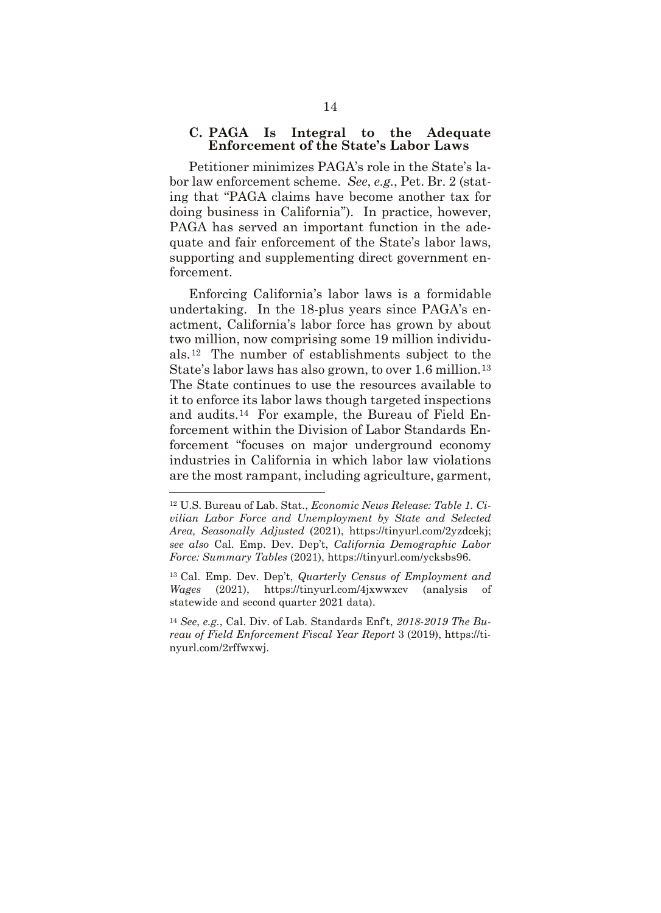#### **C. PAGA Is Integral to the Adequate Enforcement of the State's Labor Laws**

Petitioner minimizes PAGA's role in the State's labor law enforcement scheme. *See*, *e.g.*, Pet. Br. 2 (stating that "PAGA claims have become another tax for doing business in California"). In practice, however, PAGA has served an important function in the adequate and fair enforcement of the State's labor laws, supporting and supplementing direct government enforcement.

Enforcing California's labor laws is a formidable undertaking. In the 18-plus years since PAGA's enactment, California's labor force has grown by about two million, now comprising some 19 million individuals.[12](#page-21-0) The number of establishments subject to the State's labor laws has also grown, to over 1.6 million.[13](#page-21-1) The State continues to use the resources available to it to enforce its labor laws though targeted inspections and audits.[14](#page-21-2) For example, the Bureau of Field Enforcement within the Division of Labor Standards Enforcement "focuses on major underground economy industries in California in which labor law violations are the most rampant, including agriculture, garment,

<span id="page-21-0"></span><sup>12</sup> U.S. Bureau of Lab. Stat., *Economic News Release: Table 1. Civilian Labor Force and Unemployment by State and Selected Area, Seasonally Adjusted* (2021), https://tinyurl.com/2yzdcekj; *see also* Cal. Emp. Dev. Dep't, *California Demographic Labor Force: Summary Tables* (2021), https://tinyurl.com/ycksbs96.

<span id="page-21-1"></span><sup>13</sup> Cal. Emp. Dev. Dep't, *Quarterly Census of Employment and Wages* (2021), https://tinyurl.com/4jxwwxcv (analysis of statewide and second quarter 2021 data).

<span id="page-21-2"></span><sup>14</sup> *See*, *e.g.*, Cal. Div. of Lab. Standards Enf't, *2018-2019 The Bureau of Field Enforcement Fiscal Year Report* 3 (2019), https://tinyurl.com/2rffwxwj.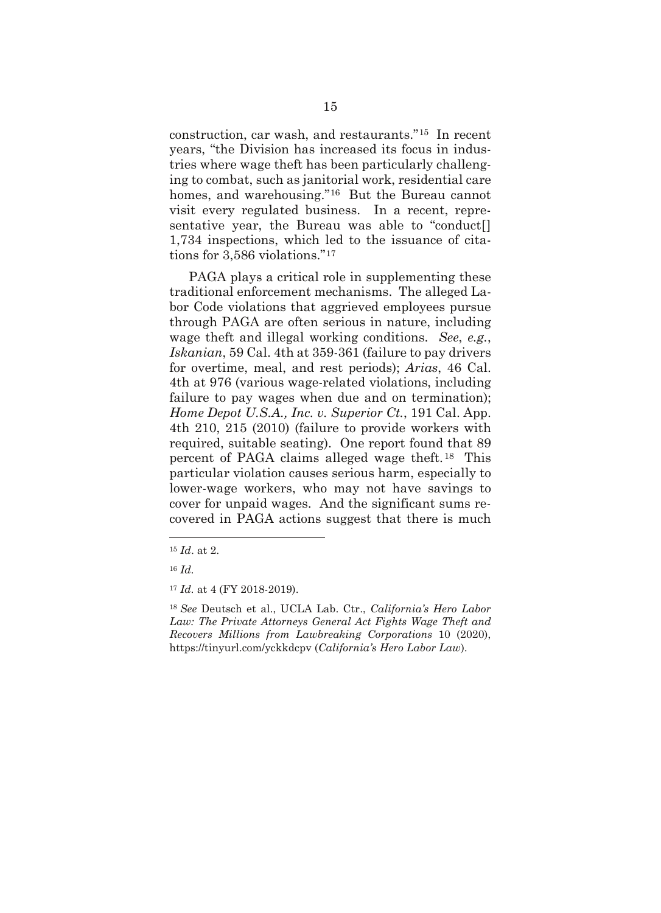construction, car wash, and restaurants."[15](#page-22-0) In recent years, "the Division has increased its focus in industries where wage theft has been particularly challenging to combat, such as janitorial work, residential care homes, and warehousing."<sup>[16](#page-22-1)</sup> But the Bureau cannot visit every regulated business. In a recent, representative year, the Bureau was able to "conduct[] 1,734 inspections, which led to the issuance of citations for 3,586 violations."[17](#page-22-2)

PAGA plays a critical role in supplementing these traditional enforcement mechanisms. The alleged Labor Code violations that aggrieved employees pursue through PAGA are often serious in nature, including wage theft and illegal working conditions. *See*, *e.g.*, *Iskanian*, 59 Cal. 4th at 359-361 (failure to pay drivers for overtime, meal, and rest periods); *Arias*, 46 Cal. 4th at 976 (various wage-related violations, including failure to pay wages when due and on termination); *Home Depot U.S.A., Inc. v. Superior Ct.*, 191 Cal. App. 4th 210, 215 (2010) (failure to provide workers with required, suitable seating). One report found that 89 percent of PAGA claims alleged wage theft.[18](#page-22-3) This particular violation causes serious harm, especially to lower-wage workers, who may not have savings to cover for unpaid wages. And the significant sums recovered in PAGA actions suggest that there is much

<span id="page-22-0"></span><sup>15</sup> *Id*. at 2.

<sup>16</sup> *Id.*

<span id="page-22-3"></span><span id="page-22-2"></span><span id="page-22-1"></span><sup>17</sup> *Id.* at 4 (FY 2018-2019).

<sup>18</sup> *See* Deutsch et al., UCLA Lab. Ctr., *California's Hero Labor Law: The Private Attorneys General Act Fights Wage Theft and Recovers Millions from Lawbreaking Corporations* 10 (2020), https://tinyurl.com/yckkdcpv (*California's Hero Labor Law*).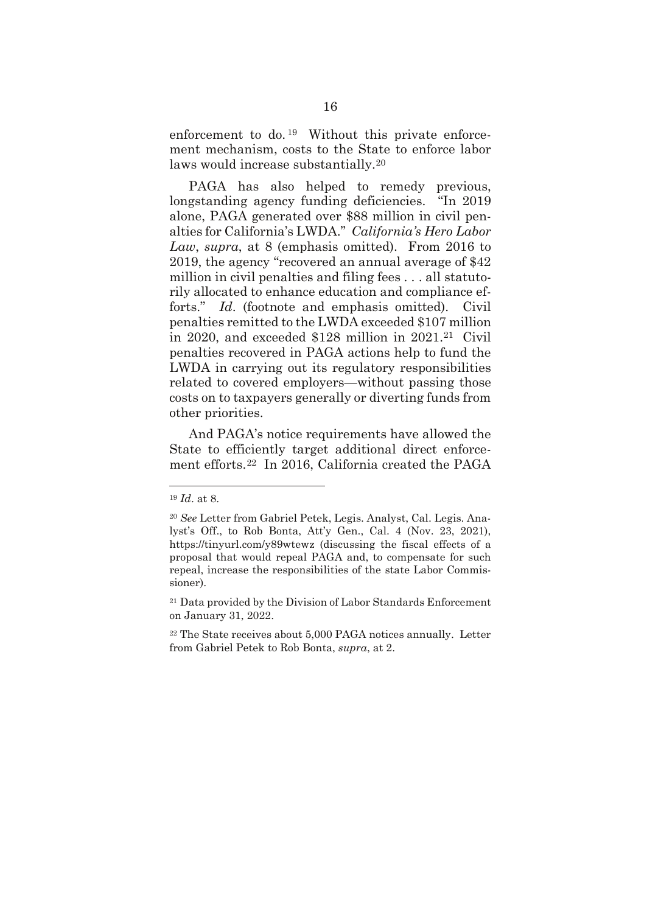enforcement to do.<sup>[19](#page-23-0)</sup> Without this private enforcement mechanism, costs to the State to enforce labor laws would increase substantially.[20](#page-23-1)

PAGA has also helped to remedy previous, longstanding agency funding deficiencies. "In 2019 alone, PAGA generated over \$88 million in civil penalties for California's LWDA." *California's Hero Labor Law*, *supra*, at 8 (emphasis omitted). From 2016 to 2019, the agency "recovered an annual average of \$42 million in civil penalties and filing fees . . . all statutorily allocated to enhance education and compliance efforts." *Id*. (footnote and emphasis omitted). Civil penalties remitted to the LWDA exceeded \$107 million in 2020, and exceeded \$128 million in 2021.[21](#page-23-2) Civil penalties recovered in PAGA actions help to fund the LWDA in carrying out its regulatory responsibilities related to covered employers—without passing those costs on to taxpayers generally or diverting funds from other priorities.

And PAGA's notice requirements have allowed the State to efficiently target additional direct enforcement efforts.[22](#page-23-3) In 2016, California created the PAGA

<span id="page-23-0"></span><sup>19</sup> *Id*. at 8.

<span id="page-23-1"></span><sup>20</sup> *See* Letter from Gabriel Petek, Legis. Analyst, Cal. Legis. Analyst's Off., to Rob Bonta, Att'y Gen., Cal. 4 (Nov. 23, 2021), https://tinyurl.com/y89wtewz (discussing the fiscal effects of a proposal that would repeal PAGA and, to compensate for such repeal, increase the responsibilities of the state Labor Commissioner).

<span id="page-23-2"></span><sup>21</sup> Data provided by the Division of Labor Standards Enforcement on January 31, 2022.

<span id="page-23-3"></span><sup>22</sup> The State receives about 5,000 PAGA notices annually. Letter from Gabriel Petek to Rob Bonta, *supra*, at 2.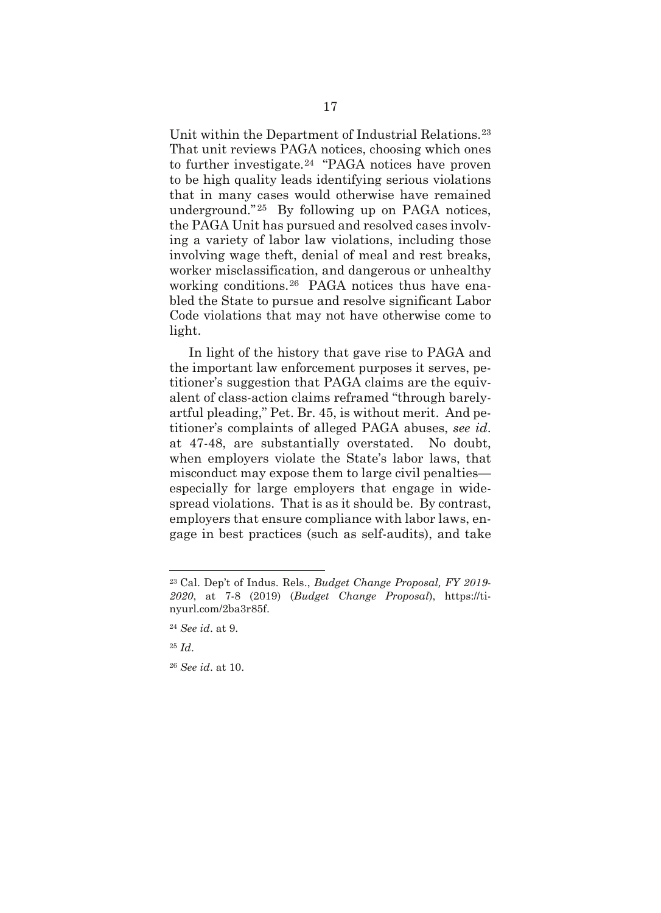Unit within the Department of Industrial Relations.[23](#page-24-0) That unit reviews PAGA notices, choosing which ones to further investigate.[24](#page-24-1) "PAGA notices have proven to be high quality leads identifying serious violations that in many cases would otherwise have remained underground." [25](#page-24-2) By following up on PAGA notices, the PAGA Unit has pursued and resolved cases involving a variety of labor law violations, including those involving wage theft, denial of meal and rest breaks, worker misclassification, and dangerous or unhealthy working conditions.[26](#page-24-3) PAGA notices thus have enabled the State to pursue and resolve significant Labor Code violations that may not have otherwise come to light.

In light of the history that gave rise to PAGA and the important law enforcement purposes it serves, petitioner's suggestion that PAGA claims are the equivalent of class-action claims reframed "through barelyartful pleading," Pet. Br. 45, is without merit. And petitioner's complaints of alleged PAGA abuses, *see id*. at 47-48, are substantially overstated. No doubt, when employers violate the State's labor laws, that misconduct may expose them to large civil penalties especially for large employers that engage in widespread violations. That is as it should be. By contrast, employers that ensure compliance with labor laws, engage in best practices (such as self-audits), and take

<span id="page-24-0"></span><sup>23</sup> Cal. Dep't of Indus. Rels., *Budget Change Proposal, FY 2019- 2020*, at 7-8 (2019) (*Budget Change Proposal*), https://tinyurl.com/2ba3r85f.

<sup>24</sup> *See id*. at 9.

<span id="page-24-3"></span><span id="page-24-2"></span><span id="page-24-1"></span><sup>25</sup> *Id*.

<sup>26</sup> *See id*. at 10.